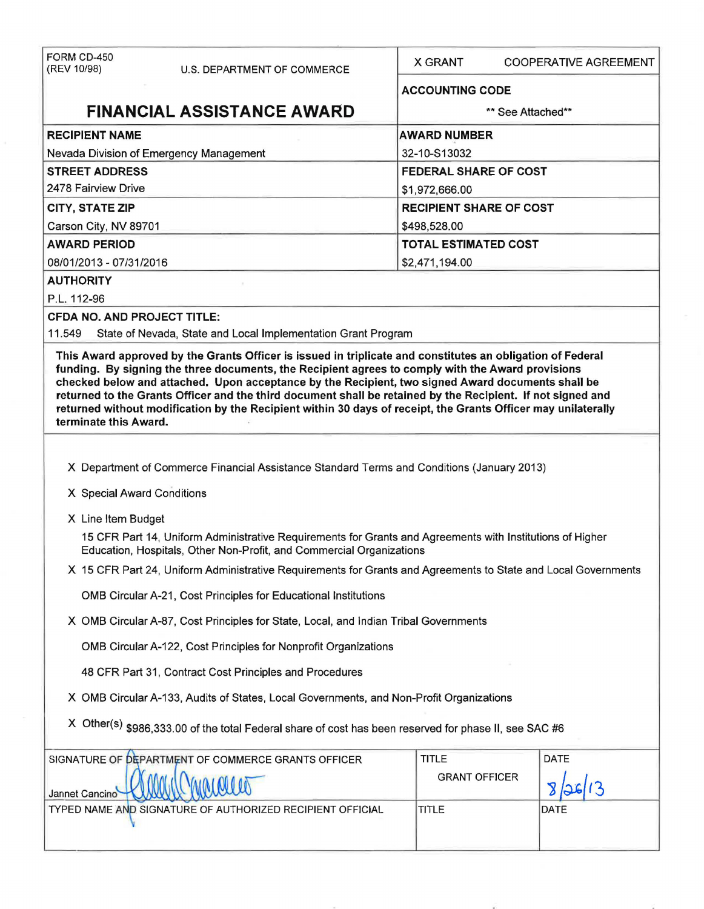| FORM CD-450<br>(REV 10/98)                                                                                                                                                                                                                                                                                                                                                                                                                                      | U.S. DEPARTMENT OF COMMERCE                                                                                                                                                       | <b>X GRANT</b>         | COOPERATIVE AGREEMENT          |  |  |  |
|-----------------------------------------------------------------------------------------------------------------------------------------------------------------------------------------------------------------------------------------------------------------------------------------------------------------------------------------------------------------------------------------------------------------------------------------------------------------|-----------------------------------------------------------------------------------------------------------------------------------------------------------------------------------|------------------------|--------------------------------|--|--|--|
|                                                                                                                                                                                                                                                                                                                                                                                                                                                                 |                                                                                                                                                                                   | <b>ACCOUNTING CODE</b> |                                |  |  |  |
| <b>FINANCIAL ASSISTANCE AWARD</b>                                                                                                                                                                                                                                                                                                                                                                                                                               |                                                                                                                                                                                   |                        | ** See Attached**              |  |  |  |
| <b>RECIPIENT NAME</b>                                                                                                                                                                                                                                                                                                                                                                                                                                           |                                                                                                                                                                                   |                        | <b>AWARD NUMBER</b>            |  |  |  |
|                                                                                                                                                                                                                                                                                                                                                                                                                                                                 | Nevada Division of Emergency Management                                                                                                                                           | 32-10-S13032           |                                |  |  |  |
| <b>STREET ADDRESS</b>                                                                                                                                                                                                                                                                                                                                                                                                                                           |                                                                                                                                                                                   |                        | <b>FEDERAL SHARE OF COST</b>   |  |  |  |
| 2478 Fairview Drive                                                                                                                                                                                                                                                                                                                                                                                                                                             |                                                                                                                                                                                   | \$1,972,666.00         |                                |  |  |  |
| <b>CITY, STATE ZIP</b>                                                                                                                                                                                                                                                                                                                                                                                                                                          |                                                                                                                                                                                   |                        | <b>RECIPIENT SHARE OF COST</b> |  |  |  |
| Carson City, NV 89701                                                                                                                                                                                                                                                                                                                                                                                                                                           |                                                                                                                                                                                   | \$498,528.00           |                                |  |  |  |
| <b>AWARD PERIOD</b>                                                                                                                                                                                                                                                                                                                                                                                                                                             |                                                                                                                                                                                   |                        | <b>TOTAL ESTIMATED COST</b>    |  |  |  |
| 08/01/2013 - 07/31/2016                                                                                                                                                                                                                                                                                                                                                                                                                                         |                                                                                                                                                                                   |                        | \$2,471,194.00                 |  |  |  |
| <b>AUTHORITY</b>                                                                                                                                                                                                                                                                                                                                                                                                                                                |                                                                                                                                                                                   |                        |                                |  |  |  |
| P.L. 112-96                                                                                                                                                                                                                                                                                                                                                                                                                                                     |                                                                                                                                                                                   |                        |                                |  |  |  |
| <b>CFDA NO. AND PROJECT TITLE:</b><br>11.549                                                                                                                                                                                                                                                                                                                                                                                                                    | State of Nevada, State and Local Implementation Grant Program                                                                                                                     |                        |                                |  |  |  |
| funding. By signing the three documents, the Recipient agrees to comply with the Award provisions<br>checked below and attached. Upon acceptance by the Recipient, two signed Award documents shall be<br>returned to the Grants Officer and the third document shall be retained by the Recipient. If not signed and<br>returned without modification by the Recipient within 30 days of receipt, the Grants Officer may unilaterally<br>terminate this Award. |                                                                                                                                                                                   |                        |                                |  |  |  |
|                                                                                                                                                                                                                                                                                                                                                                                                                                                                 |                                                                                                                                                                                   |                        |                                |  |  |  |
|                                                                                                                                                                                                                                                                                                                                                                                                                                                                 | X Department of Commerce Financial Assistance Standard Terms and Conditions (January 2013)                                                                                        |                        |                                |  |  |  |
| X Special Award Conditions                                                                                                                                                                                                                                                                                                                                                                                                                                      |                                                                                                                                                                                   |                        |                                |  |  |  |
| X Line Item Budget                                                                                                                                                                                                                                                                                                                                                                                                                                              |                                                                                                                                                                                   |                        |                                |  |  |  |
|                                                                                                                                                                                                                                                                                                                                                                                                                                                                 | 15 CFR Part 14, Uniform Administrative Requirements for Grants and Agreements with Institutions of Higher<br>Education, Hospitals, Other Non-Profit, and Commercial Organizations |                        |                                |  |  |  |
| X 15 CFR Part 24, Uniform Administrative Requirements for Grants and Agreements to State and Local Governments                                                                                                                                                                                                                                                                                                                                                  |                                                                                                                                                                                   |                        |                                |  |  |  |
| OMB Circular A-21, Cost Principles for Educational Institutions                                                                                                                                                                                                                                                                                                                                                                                                 |                                                                                                                                                                                   |                        |                                |  |  |  |
| X OMB Circular A-87, Cost Principles for State, Local, and Indian Tribal Governments                                                                                                                                                                                                                                                                                                                                                                            |                                                                                                                                                                                   |                        |                                |  |  |  |
| OMB Circular A-122, Cost Principles for Nonprofit Organizations                                                                                                                                                                                                                                                                                                                                                                                                 |                                                                                                                                                                                   |                        |                                |  |  |  |
| 48 CFR Part 31, Contract Cost Principles and Procedures                                                                                                                                                                                                                                                                                                                                                                                                         |                                                                                                                                                                                   |                        |                                |  |  |  |
| X OMB Circular A-133, Audits of States, Local Governments, and Non-Profit Organizations                                                                                                                                                                                                                                                                                                                                                                         |                                                                                                                                                                                   |                        |                                |  |  |  |
| X Other(s) \$986,333.00 of the total Federal share of cost has been reserved for phase II, see SAC #6                                                                                                                                                                                                                                                                                                                                                           |                                                                                                                                                                                   |                        |                                |  |  |  |
|                                                                                                                                                                                                                                                                                                                                                                                                                                                                 | SIGNATURE OF DEPARTMENT OF COMMERCE GRANTS OFFICER                                                                                                                                | <b>TITLE</b>           | DATE                           |  |  |  |
| Jannet Cancino                                                                                                                                                                                                                                                                                                                                                                                                                                                  |                                                                                                                                                                                   | <b>GRANT OFFICER</b>   |                                |  |  |  |
| TYPED NAME AND SIGNATURE OF AUTHORIZED RECIPIENT OFFICIAL                                                                                                                                                                                                                                                                                                                                                                                                       |                                                                                                                                                                                   | TITLE                  | DATE                           |  |  |  |
|                                                                                                                                                                                                                                                                                                                                                                                                                                                                 |                                                                                                                                                                                   |                        |                                |  |  |  |
|                                                                                                                                                                                                                                                                                                                                                                                                                                                                 |                                                                                                                                                                                   |                        |                                |  |  |  |